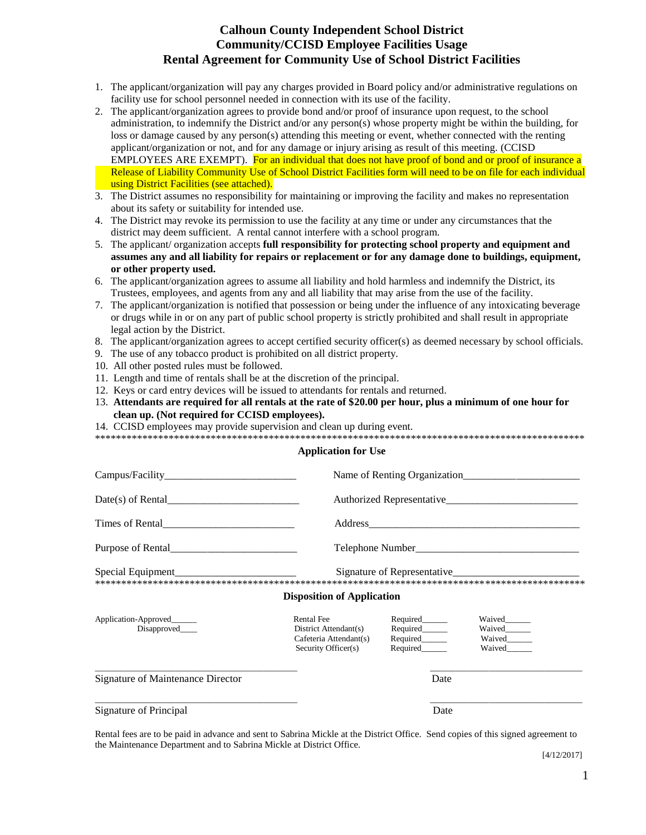### **Calhoun County Independent School District Community/CCISD Employee Facilities Usage Rental Agreement for Community Use of School District Facilities**

- 1. The applicant/organization will pay any charges provided in Board policy and/or administrative regulations on facility use for school personnel needed in connection with its use of the facility.
- 2. The applicant/organization agrees to provide bond and/or proof of insurance upon request, to the school administration, to indemnify the District and/or any person(s) whose property might be within the building, for loss or damage caused by any person(s) attending this meeting or event, whether connected with the renting applicant/organization or not, and for any damage or injury arising as result of this meeting. (CCISD EMPLOYEES ARE EXEMPT). For an individual that does not have proof of bond and or proof of insurance a Release of Liability Community Use of School District Facilities form will need to be on file for each individual using District Facilities (see attached).
- 3. The District assumes no responsibility for maintaining or improving the facility and makes no representation about its safety or suitability for intended use.
- 4. The District may revoke its permission to use the facility at any time or under any circumstances that the district may deem sufficient. A rental cannot interfere with a school program.
- 5. The applicant/ organization accepts **full responsibility for protecting school property and equipment and assumes any and all liability for repairs or replacement or for any damage done to buildings, equipment, or other property used.**
- 6. The applicant/organization agrees to assume all liability and hold harmless and indemnify the District, its Trustees, employees, and agents from any and all liability that may arise from the use of the facility.
- 7. The applicant/organization is notified that possession or being under the influence of any intoxicating beverage or drugs while in or on any part of public school property is strictly prohibited and shall result in appropriate legal action by the District.
- 8. The applicant/organization agrees to accept certified security officer(s) as deemed necessary by school officials.
- 9. The use of any tobacco product is prohibited on all district property.
- 10. All other posted rules must be followed.
- 11. Length and time of rentals shall be at the discretion of the principal.
- 12. Keys or card entry devices will be issued to attendants for rentals and returned.
- 13. **Attendants are required for all rentals at the rate of \$20.00 per hour, plus a minimum of one hour for clean up. (Not required for CCISD employees).**
- 14. CCISD employees may provide supervision and clean up during event.

| ---- |                                          |  | . | . Is also le also le also le also le also le also le also le also le also le also le also le also le also le also le also le |  |  |   |
|------|------------------------------------------|--|---|------------------------------------------------------------------------------------------------------------------------------|--|--|---|
|      | <b>The state state state of the con-</b> |  |   | .                                                                                                                            |  |  | . |
|      |                                          |  |   |                                                                                                                              |  |  |   |

#### **Application for Use**

|                                           |                                                                                             | Name of Renting Organization                                   |                                      |  |  |  |
|-------------------------------------------|---------------------------------------------------------------------------------------------|----------------------------------------------------------------|--------------------------------------|--|--|--|
| $Date(s)$ of Rental                       |                                                                                             |                                                                |                                      |  |  |  |
| Times of Rental                           |                                                                                             |                                                                |                                      |  |  |  |
| Purpose of Rental                         |                                                                                             | Telephone Number                                               |                                      |  |  |  |
|                                           |                                                                                             |                                                                | Signature of Representative          |  |  |  |
|                                           | <b>Disposition of Application</b>                                                           |                                                                |                                      |  |  |  |
| Application-Approved______<br>Disapproved | <b>Rental Fee</b><br>District Attendant(s)<br>Cafeteria Attendant(s)<br>Security Officer(s) | Required______<br>Required______<br>Required______<br>Required | Waived<br>Waived<br>Waived<br>Waived |  |  |  |
| Signature of Maintenance Director         |                                                                                             |                                                                | Date                                 |  |  |  |
| Signature of Principal                    |                                                                                             |                                                                | Date                                 |  |  |  |

Rental fees are to be paid in advance and sent to Sabrina Mickle at the District Office. Send copies of this signed agreement to the Maintenance Department and to Sabrina Mickle at District Office.

[4/12/2017]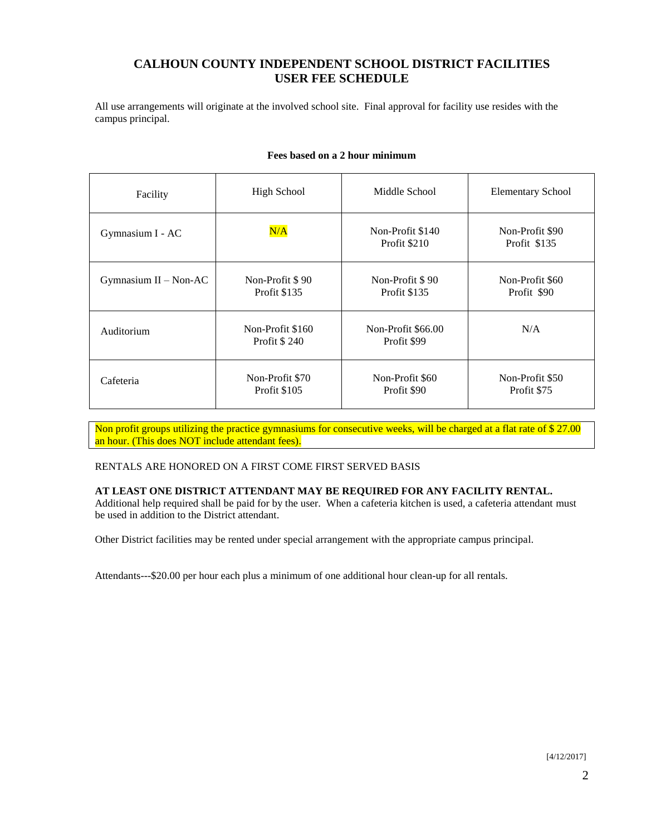# **CALHOUN COUNTY INDEPENDENT SCHOOL DISTRICT FACILITIES USER FEE SCHEDULE**

All use arrangements will originate at the involved school site. Final approval for facility use resides with the campus principal.

| Facility                | <b>High School</b>               | Middle School                     | <b>Elementary School</b>        |  |
|-------------------------|----------------------------------|-----------------------------------|---------------------------------|--|
| Gymnasium I - AC        | N/A                              | Non-Profit \$140<br>Profit \$210  | Non-Profit \$90<br>Profit \$135 |  |
| Gymnasium $II - Non-AC$ | Non-Profit \$90<br>Profit \$135  | Non-Profit \$90<br>Profit \$135   | Non-Profit \$60<br>Profit \$90  |  |
| Auditorium              | Non-Profit \$160<br>Profit \$240 | Non-Profit \$66.00<br>Profit \$99 | N/A                             |  |
| Cafeteria               | Non-Profit \$70<br>Profit \$105  | Non-Profit \$60<br>Profit \$90    | Non-Profit \$50<br>Profit \$75  |  |

#### **Fees based on a 2 hour minimum**

Non profit groups utilizing the practice gymnasiums for consecutive weeks, will be charged at a flat rate of \$27.00 an hour. (This does NOT include attendant fees).

#### RENTALS ARE HONORED ON A FIRST COME FIRST SERVED BASIS

### **AT LEAST ONE DISTRICT ATTENDANT MAY BE REQUIRED FOR ANY FACILITY RENTAL.**

Additional help required shall be paid for by the user. When a cafeteria kitchen is used, a cafeteria attendant must be used in addition to the District attendant.

Other District facilities may be rented under special arrangement with the appropriate campus principal.

Attendants---\$20.00 per hour each plus a minimum of one additional hour clean-up for all rentals.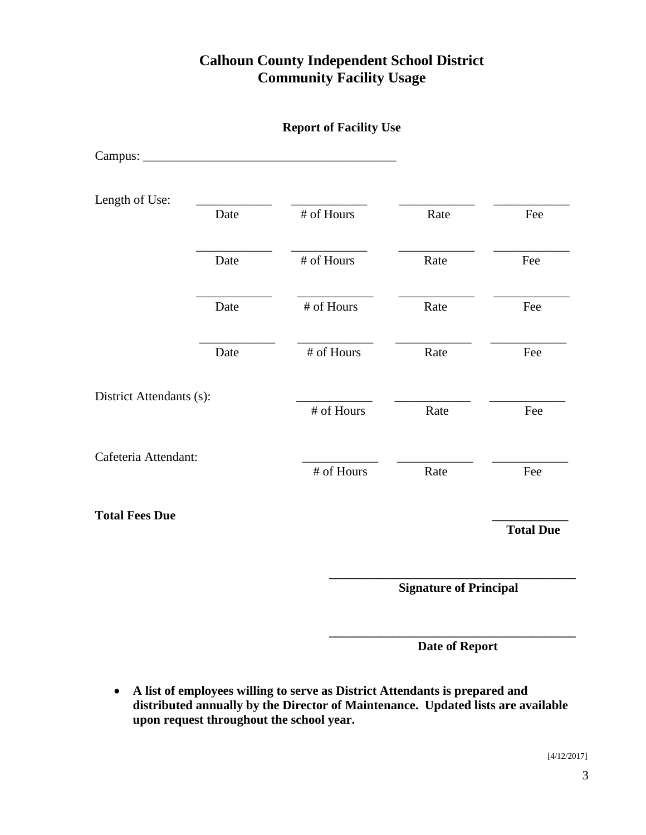# **Calhoun County Independent School District Community Facility Usage**

|                          |      | <b>Report of Facility Use</b> |                               |                  |
|--------------------------|------|-------------------------------|-------------------------------|------------------|
|                          |      |                               |                               |                  |
| Length of Use:           | Date | # of Hours                    | Rate                          | Fee              |
|                          | Date | # of Hours                    | Rate                          | Fee              |
|                          | Date | # of Hours                    | Rate                          | Fee              |
|                          | Date | # of Hours                    | Rate                          | Fee              |
| District Attendants (s): |      | # of Hours                    | Rate                          | Fee              |
| Cafeteria Attendant:     |      | # of Hours                    | Rate                          | Fee              |
| <b>Total Fees Due</b>    |      |                               |                               | <b>Total Due</b> |
|                          |      |                               | <b>Signature of Principal</b> |                  |

 **\_\_\_\_\_\_\_\_\_\_\_\_\_\_\_\_\_\_\_\_\_\_\_\_\_\_\_\_\_\_\_\_\_\_\_\_\_\_\_ Date of Report**

 **A list of employees willing to serve as District Attendants is prepared and distributed annually by the Director of Maintenance. Updated lists are available upon request throughout the school year.**

[4/12/2017]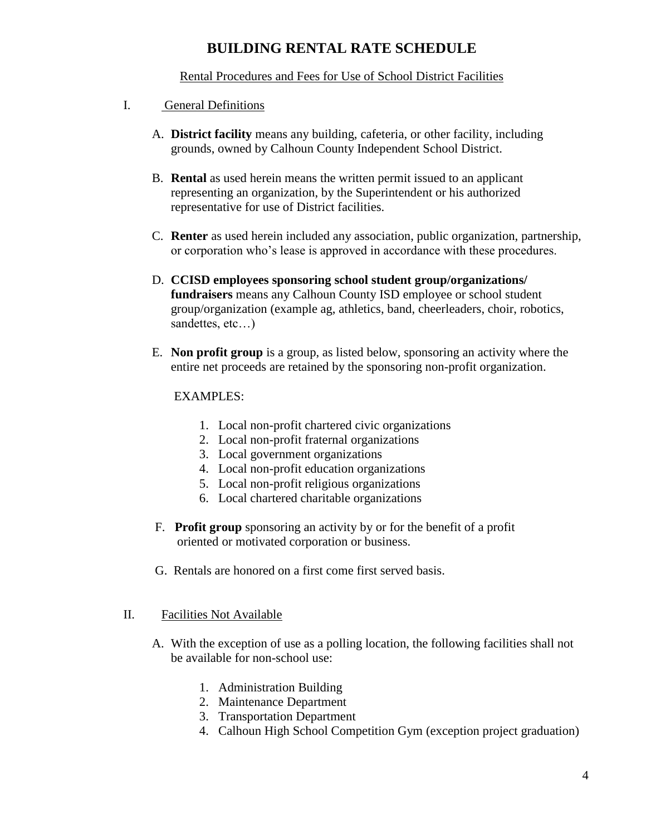# **BUILDING RENTAL RATE SCHEDULE**

## Rental Procedures and Fees for Use of School District Facilities

- I. General Definitions
	- A. **District facility** means any building, cafeteria, or other facility, including grounds, owned by Calhoun County Independent School District.
	- B. **Rental** as used herein means the written permit issued to an applicant representing an organization, by the Superintendent or his authorized representative for use of District facilities.
	- C. **Renter** as used herein included any association, public organization, partnership, or corporation who's lease is approved in accordance with these procedures.
	- D. **CCISD employees sponsoring school student group/organizations/ fundraisers** means any Calhoun County ISD employee or school student group/organization (example ag, athletics, band, cheerleaders, choir, robotics, sandettes, etc...)
	- E. **Non profit group** is a group, as listed below, sponsoring an activity where the entire net proceeds are retained by the sponsoring non-profit organization.

## EXAMPLES:

- 1. Local non-profit chartered civic organizations
- 2. Local non-profit fraternal organizations
- 3. Local government organizations
- 4. Local non-profit education organizations
- 5. Local non-profit religious organizations
- 6. Local chartered charitable organizations
- F. **Profit group** sponsoring an activity by or for the benefit of a profit oriented or motivated corporation or business.
- G. Rentals are honored on a first come first served basis.

### II. Facilities Not Available

- A. With the exception of use as a polling location, the following facilities shall not be available for non-school use:
	- 1. Administration Building
	- 2. Maintenance Department
	- 3. Transportation Department
	- 4. Calhoun High School Competition Gym (exception project graduation)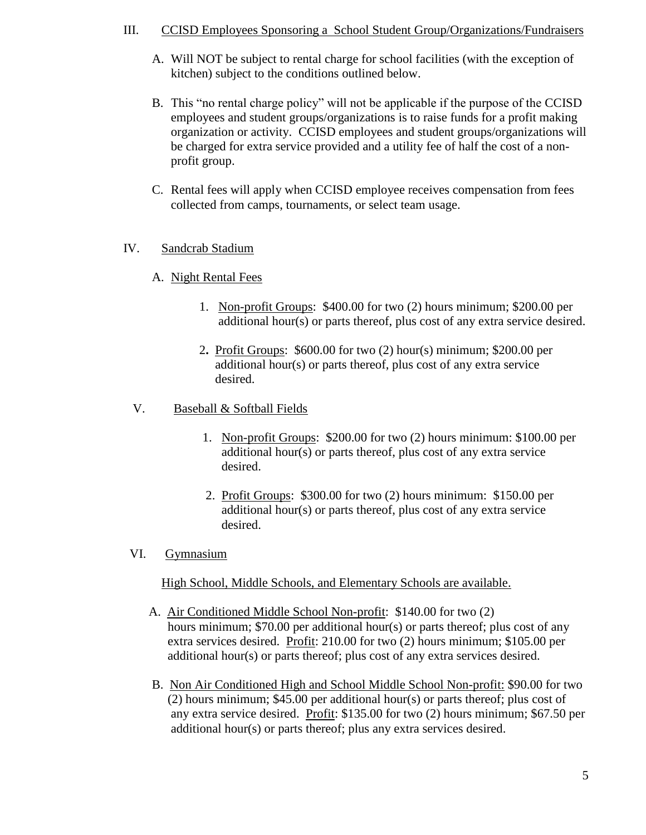## III. CCISD Employees Sponsoring a School Student Group/Organizations/Fundraisers

- A. Will NOT be subject to rental charge for school facilities (with the exception of kitchen) subject to the conditions outlined below.
- B. This "no rental charge policy" will not be applicable if the purpose of the CCISD employees and student groups/organizations is to raise funds for a profit making organization or activity. CCISD employees and student groups/organizations will be charged for extra service provided and a utility fee of half the cost of a nonprofit group.
- C. Rental fees will apply when CCISD employee receives compensation from fees collected from camps, tournaments, or select team usage.

# IV. Sandcrab Stadium

# A. Night Rental Fees

- 1. Non-profit Groups: \$400.00 for two (2) hours minimum; \$200.00 per additional hour(s) or parts thereof, plus cost of any extra service desired.
- 2**.** Profit Groups: \$600.00 for two (2) hour(s) minimum; \$200.00 per additional hour(s) or parts thereof, plus cost of any extra service desired.

# V. Baseball & Softball Fields

- 1. Non-profit Groups: \$200.00 for two (2) hours minimum: \$100.00 per additional hour(s) or parts thereof, plus cost of any extra service desired.
- 2. Profit Groups: \$300.00 for two (2) hours minimum: \$150.00 per additional hour(s) or parts thereof, plus cost of any extra service desired.
- VI. Gymnasium

# High School, Middle Schools, and Elementary Schools are available.

- A. Air Conditioned Middle School Non-profit: \$140.00 for two (2) hours minimum; \$70.00 per additional hour(s) or parts thereof; plus cost of any extra services desired. Profit: 210.00 for two (2) hours minimum; \$105.00 per additional hour(s) or parts thereof; plus cost of any extra services desired.
- B. Non Air Conditioned High and School Middle School Non-profit: \$90.00 for two (2) hours minimum; \$45.00 per additional hour(s) or parts thereof; plus cost of any extra service desired. Profit: \$135.00 for two (2) hours minimum; \$67.50 per additional hour(s) or parts thereof; plus any extra services desired.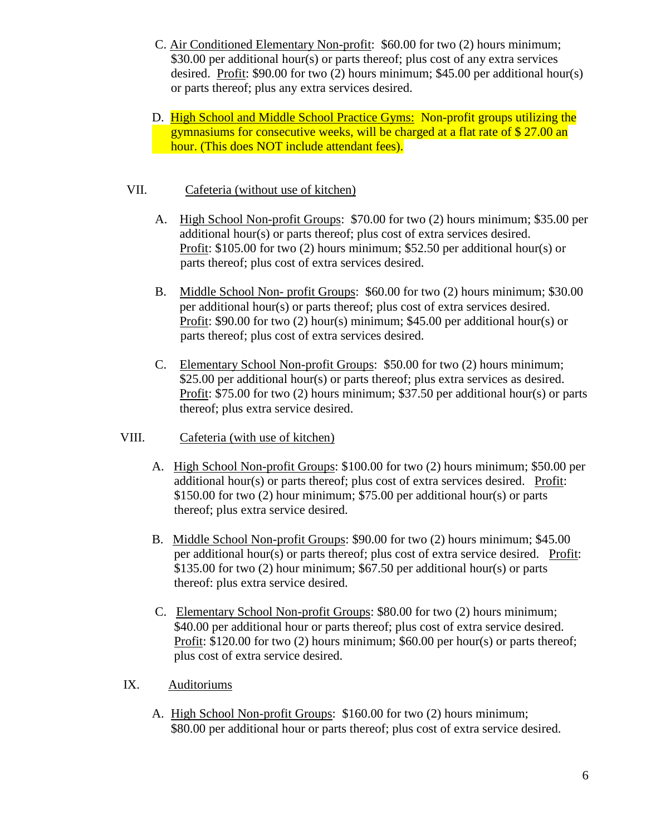- C. Air Conditioned Elementary Non-profit: \$60.00 for two (2) hours minimum; \$30.00 per additional hour(s) or parts thereof; plus cost of any extra services desired. Profit: \$90.00 for two (2) hours minimum; \$45.00 per additional hour(s) or parts thereof; plus any extra services desired.
- D. High School and Middle School Practice Gyms: Non-profit groups utilizing the gymnasiums for consecutive weeks, will be charged at a flat rate of \$ 27.00 an hour. (This does NOT include attendant fees).

# VII. Cafeteria (without use of kitchen)

- A. High School Non-profit Groups: \$70.00 for two (2) hours minimum; \$35.00 per additional hour(s) or parts thereof; plus cost of extra services desired. Profit: \$105.00 for two (2) hours minimum; \$52.50 per additional hour(s) or parts thereof; plus cost of extra services desired.
- B. Middle School Non- profit Groups: \$60.00 for two (2) hours minimum; \$30.00 per additional hour(s) or parts thereof; plus cost of extra services desired. Profit: \$90.00 for two (2) hour(s) minimum; \$45.00 per additional hour(s) or parts thereof; plus cost of extra services desired.
- C. Elementary School Non-profit Groups: \$50.00 for two (2) hours minimum; \$25.00 per additional hour(s) or parts thereof; plus extra services as desired. Profit: \$75.00 for two (2) hours minimum; \$37.50 per additional hour(s) or parts thereof; plus extra service desired.
- VIII. Cafeteria (with use of kitchen)
	- A. High School Non-profit Groups: \$100.00 for two (2) hours minimum; \$50.00 per additional hour(s) or parts thereof; plus cost of extra services desired. Profit: \$150.00 for two (2) hour minimum; \$75.00 per additional hour(s) or parts thereof; plus extra service desired.
	- B. Middle School Non-profit Groups: \$90.00 for two (2) hours minimum; \$45.00 per additional hour(s) or parts thereof; plus cost of extra service desired. Profit: \$135.00 for two (2) hour minimum; \$67.50 per additional hour(s) or parts thereof: plus extra service desired.
	- C. Elementary School Non-profit Groups: \$80.00 for two (2) hours minimum; \$40.00 per additional hour or parts thereof; plus cost of extra service desired. Profit: \$120.00 for two (2) hours minimum; \$60.00 per hour(s) or parts thereof; plus cost of extra service desired.
- IX. Auditoriums
	- A. High School Non-profit Groups: \$160.00 for two (2) hours minimum; \$80.00 per additional hour or parts thereof; plus cost of extra service desired.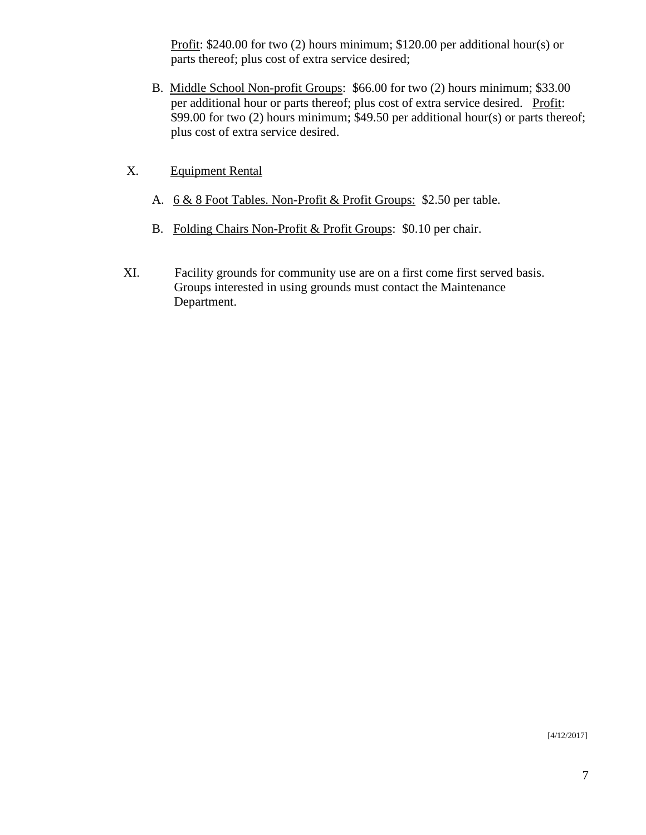Profit: \$240.00 for two (2) hours minimum; \$120.00 per additional hour(s) or parts thereof; plus cost of extra service desired;

- B. Middle School Non-profit Groups: \$66.00 for two (2) hours minimum; \$33.00 per additional hour or parts thereof; plus cost of extra service desired. Profit: \$99.00 for two (2) hours minimum; \$49.50 per additional hour(s) or parts thereof; plus cost of extra service desired.
- X. Equipment Rental
	- A. 6 & 8 Foot Tables. Non-Profit & Profit Groups: \$2.50 per table.
	- B. Folding Chairs Non-Profit & Profit Groups: \$0.10 per chair.
- XI. Facility grounds for community use are on a first come first served basis. Groups interested in using grounds must contact the Maintenance Department.

[4/12/2017]